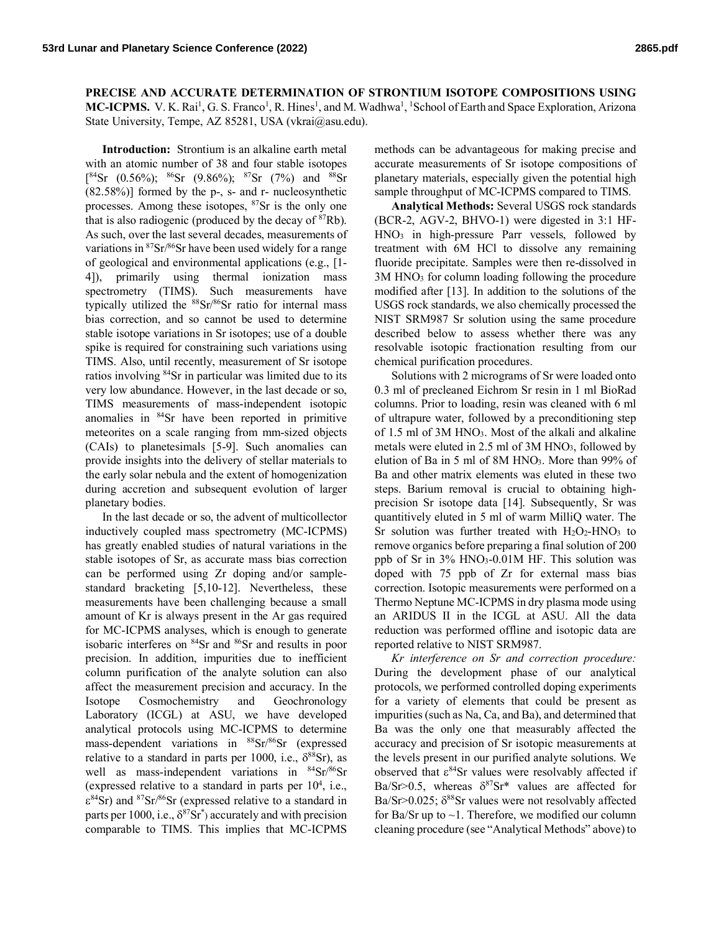**PRECISE AND ACCURATE DETERMINATION OF STRONTIUM ISOTOPE COMPOSITIONS USING**  MC-ICPMS. V. K. Rai<sup>1</sup>, G. S. Franco<sup>1</sup>, R. Hines<sup>1</sup>, and M. Wadhwa<sup>1</sup>, <sup>1</sup>School of Earth and Space Exploration, Arizona State University, Tempe, AZ 85281, USA (vkrai@asu.edu).

**Introduction:** Strontium is an alkaline earth metal with an atomic number of 38 and four stable isotopes  $[{}^{84}Sr (0.56\%); {}^{86}Sr (9.86\%); {}^{87}Sr (7\%) and {}^{88}Sr$ (82.58%)] formed by the p-, s- and r- nucleosynthetic processes. Among these isotopes, 87Sr is the only one that is also radiogenic (produced by the decay of  $87Rb$ ). As such, over the last several decades, measurements of variations in 87Sr/86Sr have been used widely for a range of geological and environmental applications (e.g., [1- 4]), primarily using thermal ionization mass spectrometry (TIMS). Such measurements have typically utilized the <sup>88</sup>Sr/<sup>86</sup>Sr ratio for internal mass bias correction, and so cannot be used to determine stable isotope variations in Sr isotopes; use of a double spike is required for constraining such variations using TIMS. Also, until recently, measurement of Sr isotope ratios involving 84Sr in particular was limited due to its very low abundance. However, in the last decade or so, TIMS measurements of mass-independent isotopic anomalies in 84Sr have been reported in primitive meteorites on a scale ranging from mm-sized objects (CAIs) to planetesimals [5-9]. Such anomalies can provide insights into the delivery of stellar materials to the early solar nebula and the extent of homogenization during accretion and subsequent evolution of larger planetary bodies.

In the last decade or so, the advent of multicollector inductively coupled mass spectrometry (MC-ICPMS) has greatly enabled studies of natural variations in the stable isotopes of Sr, as accurate mass bias correction can be performed using Zr doping and/or samplestandard bracketing [5,10-12]. Nevertheless, these measurements have been challenging because a small amount of Kr is always present in the Ar gas required for MC-ICPMS analyses, which is enough to generate isobaric interferes on 84Sr and 86Sr and results in poor precision. In addition, impurities due to inefficient column purification of the analyte solution can also affect the measurement precision and accuracy. In the Isotope Cosmochemistry and Geochronology Laboratory (ICGL) at ASU, we have developed analytical protocols using MC-ICPMS to determine mass-dependent variations in <sup>88</sup>Sr/<sup>86</sup>Sr (expressed relative to a standard in parts per 1000, i.e.,  $\delta^{88}$ Sr), as well as mass-independent variations in <sup>84</sup>Sr/<sup>86</sup>Sr (expressed relative to a standard in parts per  $10^4$ , i.e.,  $\epsilon^{84}$ Sr) and  $87$ Sr $/86$ Sr (expressed relative to a standard in parts per 1000, i.e.,  $\delta^{87}$ Sr<sup>\*</sup>) accurately and with precision comparable to TIMS. This implies that MC-ICPMS

methods can be advantageous for making precise and accurate measurements of Sr isotope compositions of planetary materials, especially given the potential high sample throughput of MC-ICPMS compared to TIMS.

**Analytical Methods:** Several USGS rock standards (BCR-2, AGV-2, BHVO-1) were digested in 3:1 HF-HNO3 in high-pressure Parr vessels, followed by treatment with 6M HCl to dissolve any remaining fluoride precipitate. Samples were then re-dissolved in 3M HNO3 for column loading following the procedure modified after [13]. In addition to the solutions of the USGS rock standards, we also chemically processed the NIST SRM987 Sr solution using the same procedure described below to assess whether there was any resolvable isotopic fractionation resulting from our chemical purification procedures.

Solutions with 2 micrograms of Sr were loaded onto 0.3 ml of precleaned Eichrom Sr resin in 1 ml BioRad columns. Prior to loading, resin was cleaned with 6 ml of ultrapure water, followed by a preconditioning step of 1.5 ml of 3M HNO3. Most of the alkali and alkaline metals were eluted in 2.5 ml of 3M HNO<sub>3</sub>, followed by elution of Ba in 5 ml of 8M HNO3. More than 99% of Ba and other matrix elements was eluted in these two steps. Barium removal is crucial to obtaining highprecision Sr isotope data [14]. Subsequently, Sr was quantitively eluted in 5 ml of warm MilliQ water. The Sr solution was further treated with  $H_2O_2$ -HNO<sub>3</sub> to remove organics before preparing a final solution of 200 ppb of Sr in  $3\%$  HNO<sub>3</sub>-0.01M HF. This solution was doped with 75 ppb of Zr for external mass bias correction. Isotopic measurements were performed on a Thermo Neptune MC-ICPMS in dry plasma mode using an ARIDUS II in the ICGL at ASU. All the data reduction was performed offline and isotopic data are reported relative to NIST SRM987.

*Kr interference on Sr and correction procedure:* During the development phase of our analytical protocols, we performed controlled doping experiments for a variety of elements that could be present as impurities (such as Na, Ca, and Ba), and determined that Ba was the only one that measurably affected the accuracy and precision of Sr isotopic measurements at the levels present in our purified analyte solutions. We observed that  $\varepsilon^{84}$ Sr values were resolvably affected if Ba/Sr>0.5, whereas  $\delta^{87}$ Sr\* values are affected for Ba/Sr>0.025;  $\delta^{88}$ Sr values were not resolvably affected for Ba/Sr up to  $\sim$ 1. Therefore, we modified our column cleaning procedure (see "Analytical Methods" above) to